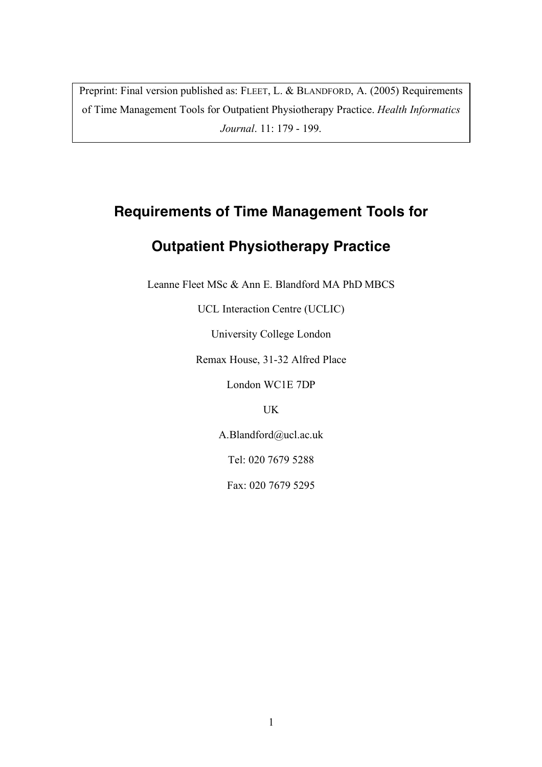Preprint: Final version published as: FLEET, L. & BLANDFORD, A. (2005) Requirements of Time Management Tools for Outpatient Physiotherapy Practice. *Health Informatics Journal*. 11: 179 - 199.

## **Requirements of Time Management Tools for**

# **Outpatient Physiotherapy Practice**

Leanne Fleet MSc & Ann E. Blandford MA PhD MBCS

UCL Interaction Centre (UCLIC)

University College London

Remax House, 31-32 Alfred Place

London WC1E 7DP

UK

A.Blandford@ucl.ac.uk

Tel: 020 7679 5288

Fax: 020 7679 5295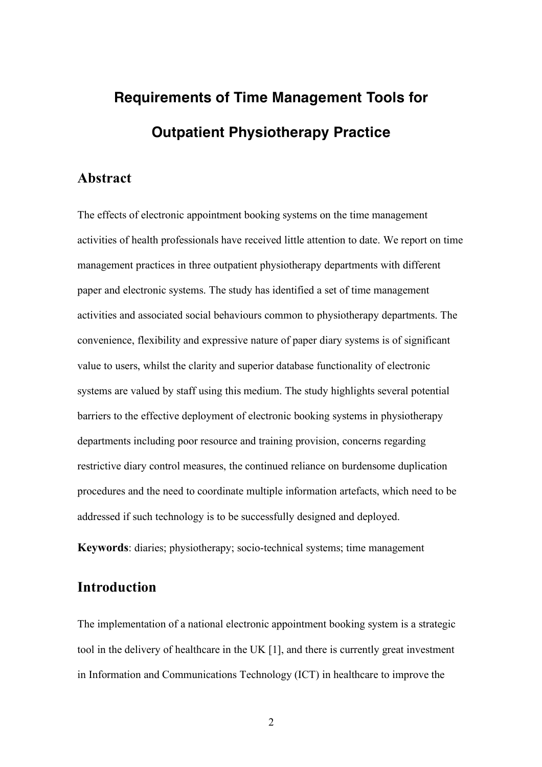# **Requirements of Time Management Tools for Outpatient Physiotherapy Practice**

### **Abstract**

The effects of electronic appointment booking systems on the time management activities of health professionals have received little attention to date. We report on time management practices in three outpatient physiotherapy departments with different paper and electronic systems. The study has identified a set of time management activities and associated social behaviours common to physiotherapy departments. The convenience, flexibility and expressive nature of paper diary systems is of significant value to users, whilst the clarity and superior database functionality of electronic systems are valued by staff using this medium. The study highlights several potential barriers to the effective deployment of electronic booking systems in physiotherapy departments including poor resource and training provision, concerns regarding restrictive diary control measures, the continued reliance on burdensome duplication procedures and the need to coordinate multiple information artefacts, which need to be addressed if such technology is to be successfully designed and deployed.

**Keywords**: diaries; physiotherapy; socio-technical systems; time management

## **Introduction**

The implementation of a national electronic appointment booking system is a strategic tool in the delivery of healthcare in the UK [1], and there is currently great investment in Information and Communications Technology (ICT) in healthcare to improve the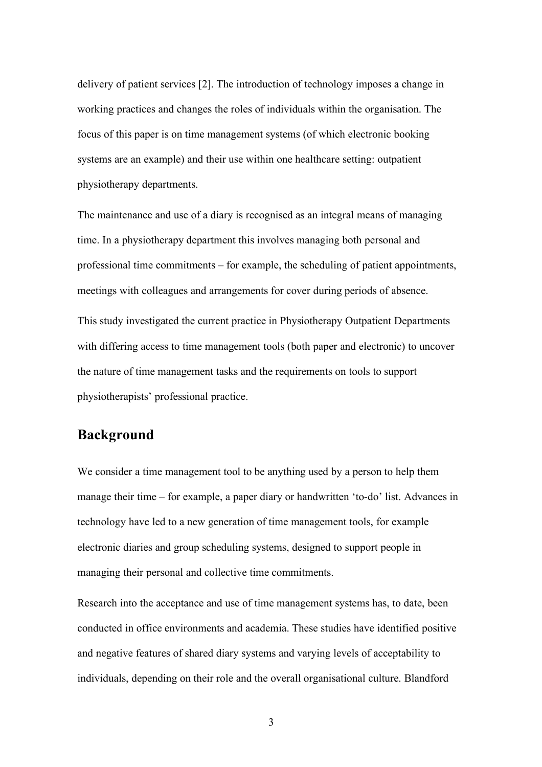delivery of patient services [2]. The introduction of technology imposes a change in working practices and changes the roles of individuals within the organisation. The focus of this paper is on time management systems (of which electronic booking systems are an example) and their use within one healthcare setting: outpatient physiotherapy departments.

The maintenance and use of a diary is recognised as an integral means of managing time. In a physiotherapy department this involves managing both personal and professional time commitments – for example, the scheduling of patient appointments, meetings with colleagues and arrangements for cover during periods of absence. This study investigated the current practice in Physiotherapy Outpatient Departments with differing access to time management tools (both paper and electronic) to uncover the nature of time management tasks and the requirements on tools to support physiotherapists' professional practice.

## **Background**

We consider a time management tool to be anything used by a person to help them manage their time – for example, a paper diary or handwritten 'to-do' list. Advances in technology have led to a new generation of time management tools, for example electronic diaries and group scheduling systems, designed to support people in managing their personal and collective time commitments.

Research into the acceptance and use of time management systems has, to date, been conducted in office environments and academia. These studies have identified positive and negative features of shared diary systems and varying levels of acceptability to individuals, depending on their role and the overall organisational culture. Blandford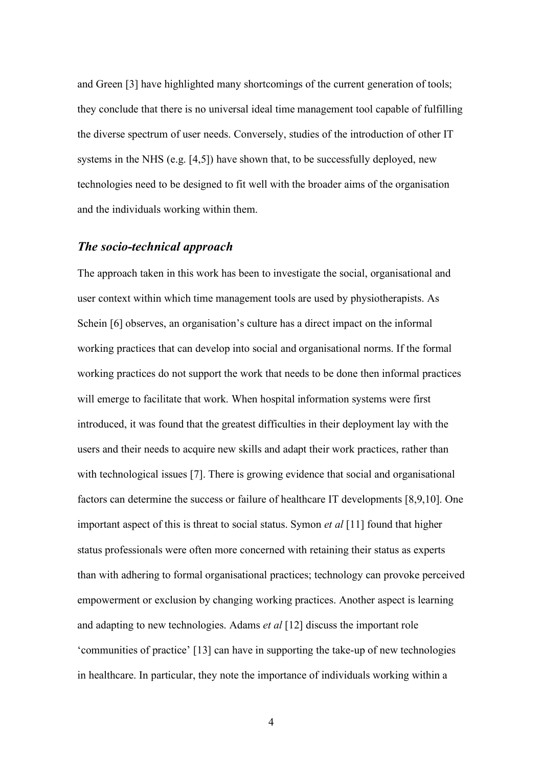and Green [3] have highlighted many shortcomings of the current generation of tools; they conclude that there is no universal ideal time management tool capable of fulfilling the diverse spectrum of user needs. Conversely, studies of the introduction of other IT systems in the NHS (e.g. [4,5]) have shown that, to be successfully deployed, new technologies need to be designed to fit well with the broader aims of the organisation and the individuals working within them.

#### *The socio-technical approach*

The approach taken in this work has been to investigate the social, organisational and user context within which time management tools are used by physiotherapists. As Schein [6] observes, an organisation's culture has a direct impact on the informal working practices that can develop into social and organisational norms. If the formal working practices do not support the work that needs to be done then informal practices will emerge to facilitate that work. When hospital information systems were first introduced, it was found that the greatest difficulties in their deployment lay with the users and their needs to acquire new skills and adapt their work practices, rather than with technological issues [7]. There is growing evidence that social and organisational factors can determine the success or failure of healthcare IT developments [8,9,10]. One important aspect of this is threat to social status. Symon *et al* [11] found that higher status professionals were often more concerned with retaining their status as experts than with adhering to formal organisational practices; technology can provoke perceived empowerment or exclusion by changing working practices. Another aspect is learning and adapting to new technologies. Adams *et al* [12] discuss the important role 'communities of practice' [13] can have in supporting the take-up of new technologies in healthcare. In particular, they note the importance of individuals working within a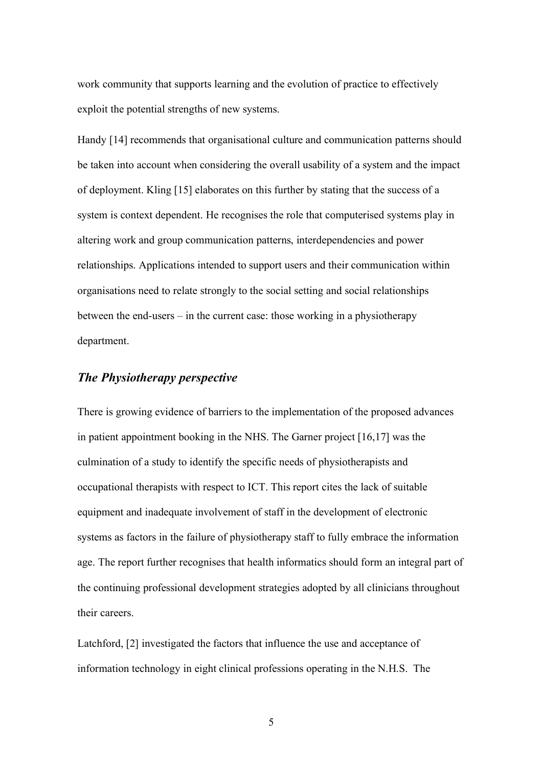work community that supports learning and the evolution of practice to effectively exploit the potential strengths of new systems.

Handy [14] recommends that organisational culture and communication patterns should be taken into account when considering the overall usability of a system and the impact of deployment. Kling [15] elaborates on this further by stating that the success of a system is context dependent. He recognises the role that computerised systems play in altering work and group communication patterns, interdependencies and power relationships. Applications intended to support users and their communication within organisations need to relate strongly to the social setting and social relationships between the end-users – in the current case: those working in a physiotherapy department.

#### *The Physiotherapy perspective*

There is growing evidence of barriers to the implementation of the proposed advances in patient appointment booking in the NHS. The Garner project [16,17] was the culmination of a study to identify the specific needs of physiotherapists and occupational therapists with respect to ICT. This report cites the lack of suitable equipment and inadequate involvement of staff in the development of electronic systems as factors in the failure of physiotherapy staff to fully embrace the information age. The report further recognises that health informatics should form an integral part of the continuing professional development strategies adopted by all clinicians throughout their careers.

Latchford, [2] investigated the factors that influence the use and acceptance of information technology in eight clinical professions operating in the N.H.S. The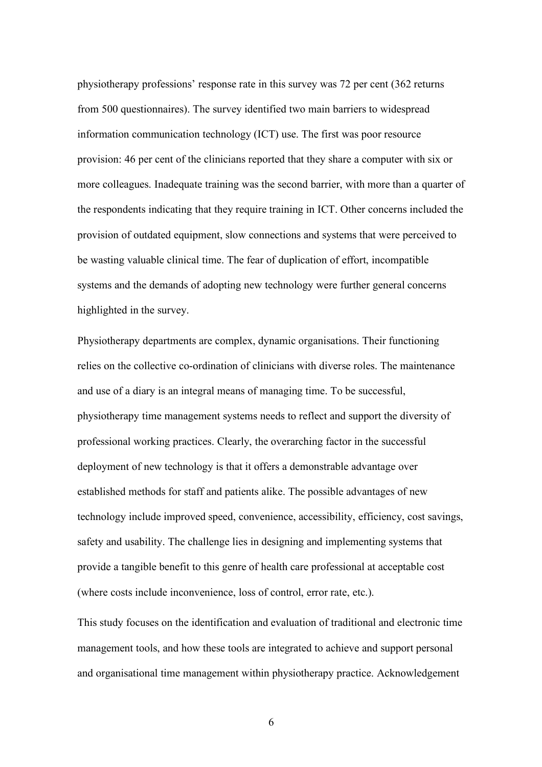physiotherapy professions' response rate in this survey was 72 per cent (362 returns from 500 questionnaires). The survey identified two main barriers to widespread information communication technology (ICT) use. The first was poor resource provision: 46 per cent of the clinicians reported that they share a computer with six or more colleagues. Inadequate training was the second barrier, with more than a quarter of the respondents indicating that they require training in ICT. Other concerns included the provision of outdated equipment, slow connections and systems that were perceived to be wasting valuable clinical time. The fear of duplication of effort, incompatible systems and the demands of adopting new technology were further general concerns highlighted in the survey.

Physiotherapy departments are complex, dynamic organisations. Their functioning relies on the collective co-ordination of clinicians with diverse roles. The maintenance and use of a diary is an integral means of managing time. To be successful, physiotherapy time management systems needs to reflect and support the diversity of professional working practices. Clearly, the overarching factor in the successful deployment of new technology is that it offers a demonstrable advantage over established methods for staff and patients alike. The possible advantages of new technology include improved speed, convenience, accessibility, efficiency, cost savings, safety and usability. The challenge lies in designing and implementing systems that provide a tangible benefit to this genre of health care professional at acceptable cost (where costs include inconvenience, loss of control, error rate, etc.).

This study focuses on the identification and evaluation of traditional and electronic time management tools, and how these tools are integrated to achieve and support personal and organisational time management within physiotherapy practice. Acknowledgement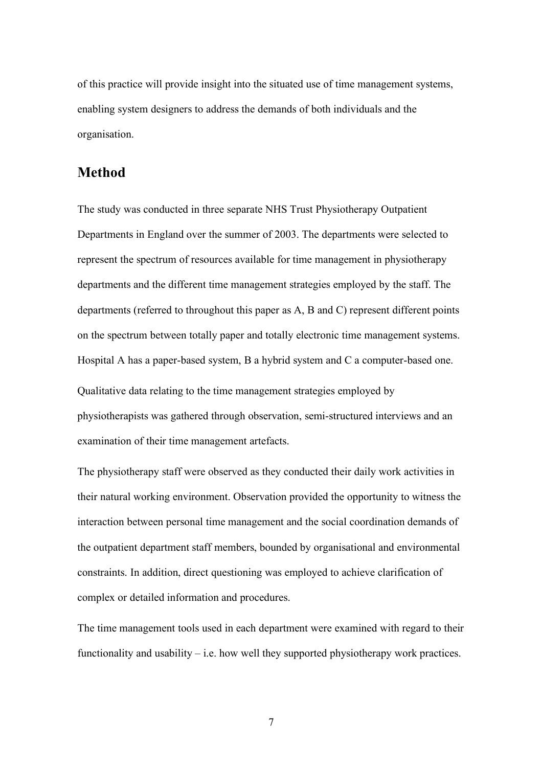of this practice will provide insight into the situated use of time management systems, enabling system designers to address the demands of both individuals and the organisation.

#### **Method**

The study was conducted in three separate NHS Trust Physiotherapy Outpatient Departments in England over the summer of 2003. The departments were selected to represent the spectrum of resources available for time management in physiotherapy departments and the different time management strategies employed by the staff. The departments (referred to throughout this paper as A, B and C) represent different points on the spectrum between totally paper and totally electronic time management systems. Hospital A has a paper-based system, B a hybrid system and C a computer-based one. Qualitative data relating to the time management strategies employed by physiotherapists was gathered through observation, semi-structured interviews and an examination of their time management artefacts.

The physiotherapy staff were observed as they conducted their daily work activities in their natural working environment. Observation provided the opportunity to witness the interaction between personal time management and the social coordination demands of the outpatient department staff members, bounded by organisational and environmental constraints. In addition, direct questioning was employed to achieve clarification of complex or detailed information and procedures.

The time management tools used in each department were examined with regard to their functionality and usability  $-$  i.e. how well they supported physiotherapy work practices.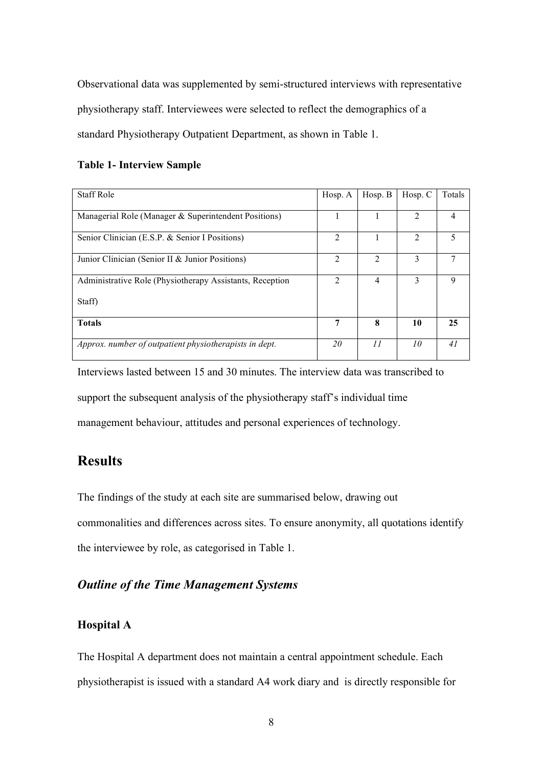Observational data was supplemented by semi-structured interviews with representative physiotherapy staff. Interviewees were selected to reflect the demographics of a standard Physiotherapy Outpatient Department, as shown in Table 1.

#### **Table 1- Interview Sample**

| <b>Staff Role</b>                                        | Hosp. A        | Hosp. B        | Hosp. C        | Totals |
|----------------------------------------------------------|----------------|----------------|----------------|--------|
| Managerial Role (Manager & Superintendent Positions)     |                |                | $\mathfrak{D}$ | 4      |
| Senior Clinician (E.S.P. & Senior I Positions)           | $\mathfrak{D}$ |                | $\mathfrak{D}$ | 5      |
| Junior Clinician (Senior II & Junior Positions)          | $\mathcal{L}$  | $\mathfrak{D}$ | 3              |        |
| Administrative Role (Physiotherapy Assistants, Reception | $\mathfrak{D}$ | 4              | 3              | 9      |
| Staff)                                                   |                |                |                |        |
| <b>Totals</b>                                            | 7              | 8              | 10             | 25     |
| Approx. number of outpatient physiotherapists in dept.   | 20             | II             | 10             | 41     |

Interviews lasted between 15 and 30 minutes. The interview data was transcribed to support the subsequent analysis of the physiotherapy staff's individual time management behaviour, attitudes and personal experiences of technology.

## **Results**

The findings of the study at each site are summarised below, drawing out commonalities and differences across sites. To ensure anonymity, all quotations identify the interviewee by role, as categorised in Table 1.

## *Outline of the Time Management Systems*

#### **Hospital A**

The Hospital A department does not maintain a central appointment schedule. Each physiotherapist is issued with a standard A4 work diary and is directly responsible for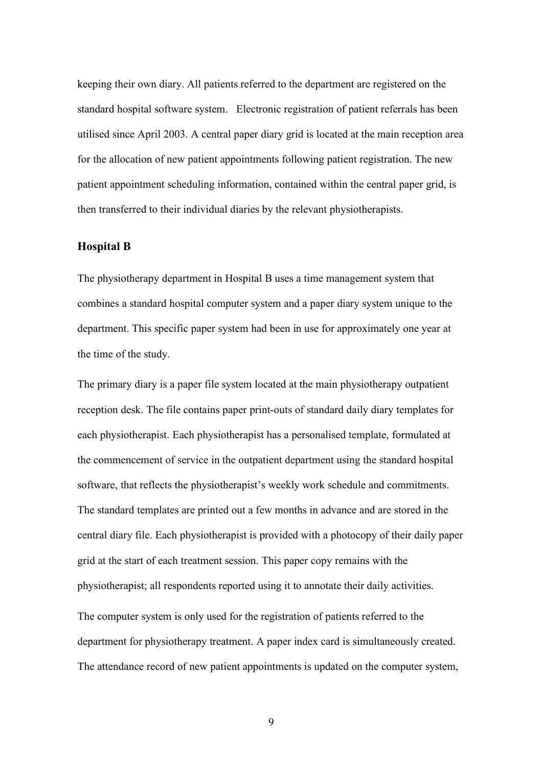keeping their own diary. All patients referred to the department are registered on the standard hospital software system. Electronic registration of patient referrals has been utilised since April 2003. A central paper diary grid is located at the main reception area for the allocation of new patient appointments following patient registration. The new patient appointment scheduling information, contained within the central paper grid, is then transferred to their individual diaries by the relevant physiotherapists.

#### **Hospital B**

The physiotherapy department in Hospital B uses a time management system that combines a standard hospital computer system and a paper diary system unique to the department. This specific paper system had been in use for approximately one year at the time of the study.

The primary diary is a paper file system located at the main physiotherapy outpatient reception desk. The file contains paper print-outs of standard daily diary templates for each physiotherapist. Each physiotherapist has a personalised template, formulated at the commencement of service in the outpatient department using the standard hospital software, that reflects the physiotherapist's weekly work schedule and commitments. The standard templates are printed out a few months in advance and are stored in the central diary file. Each physiotherapist is provided with a photocopy of their daily paper grid at the start of each treatment session. This paper copy remains with the physiotherapist; all respondents reported using it to annotate their daily activities. The computer system is only used for the registration of patients referred to the department for physiotherapy treatment. A paper index card is simultaneously created. The attendance record of new patient appointments is updated on the computer system,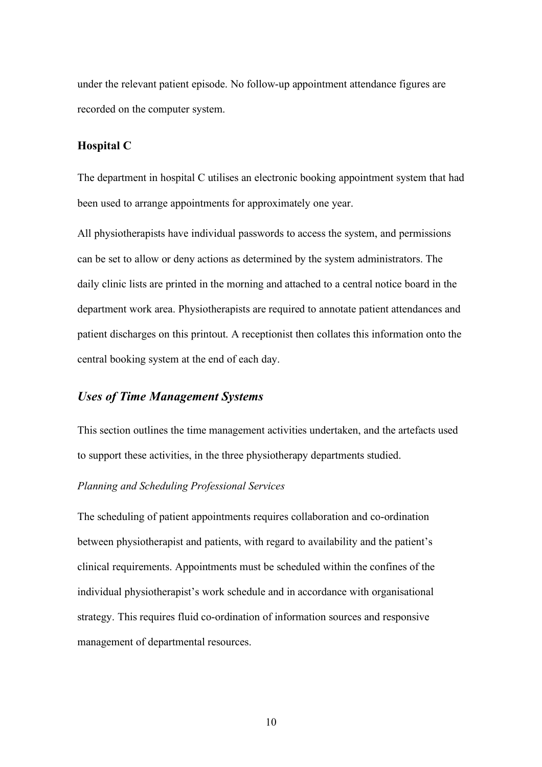under the relevant patient episode. No follow-up appointment attendance figures are recorded on the computer system.

#### **Hospital C**

The department in hospital C utilises an electronic booking appointment system that had been used to arrange appointments for approximately one year.

All physiotherapists have individual passwords to access the system, and permissions can be set to allow or deny actions as determined by the system administrators. The daily clinic lists are printed in the morning and attached to a central notice board in the department work area. Physiotherapists are required to annotate patient attendances and patient discharges on this printout. A receptionist then collates this information onto the central booking system at the end of each day.

#### *Uses of Time Management Systems*

This section outlines the time management activities undertaken, and the artefacts used to support these activities, in the three physiotherapy departments studied.

#### *Planning and Scheduling Professional Services*

The scheduling of patient appointments requires collaboration and co-ordination between physiotherapist and patients, with regard to availability and the patient's clinical requirements. Appointments must be scheduled within the confines of the individual physiotherapist's work schedule and in accordance with organisational strategy. This requires fluid co-ordination of information sources and responsive management of departmental resources.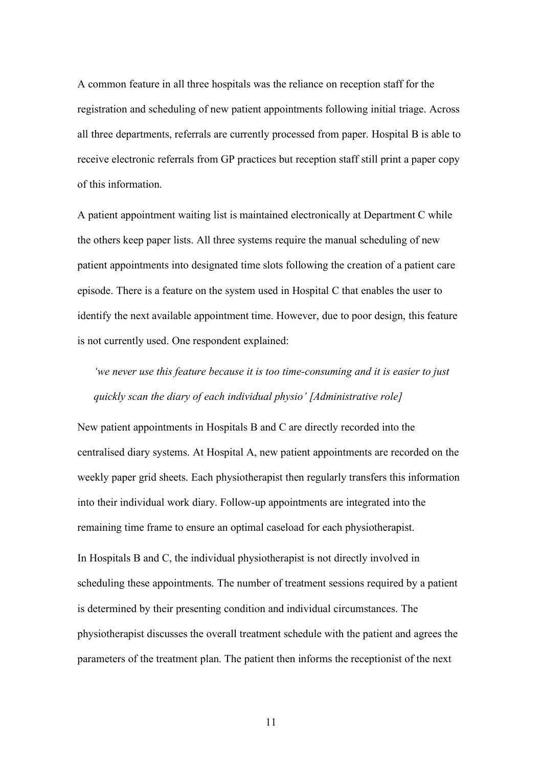A common feature in all three hospitals was the reliance on reception staff for the registration and scheduling of new patient appointments following initial triage. Across all three departments, referrals are currently processed from paper. Hospital B is able to receive electronic referrals from GP practices but reception staff still print a paper copy of this information.

A patient appointment waiting list is maintained electronically at Department C while the others keep paper lists. All three systems require the manual scheduling of new patient appointments into designated time slots following the creation of a patient care episode. There is a feature on the system used in Hospital C that enables the user to identify the next available appointment time. However, due to poor design, this feature is not currently used. One respondent explained:

*'we never use this feature because it is too time-consuming and it is easier to just quickly scan the diary of each individual physio' [Administrative role]*

New patient appointments in Hospitals B and C are directly recorded into the centralised diary systems. At Hospital A, new patient appointments are recorded on the weekly paper grid sheets. Each physiotherapist then regularly transfers this information into their individual work diary. Follow-up appointments are integrated into the remaining time frame to ensure an optimal caseload for each physiotherapist.

In Hospitals B and C, the individual physiotherapist is not directly involved in scheduling these appointments. The number of treatment sessions required by a patient is determined by their presenting condition and individual circumstances. The physiotherapist discusses the overall treatment schedule with the patient and agrees the parameters of the treatment plan. The patient then informs the receptionist of the next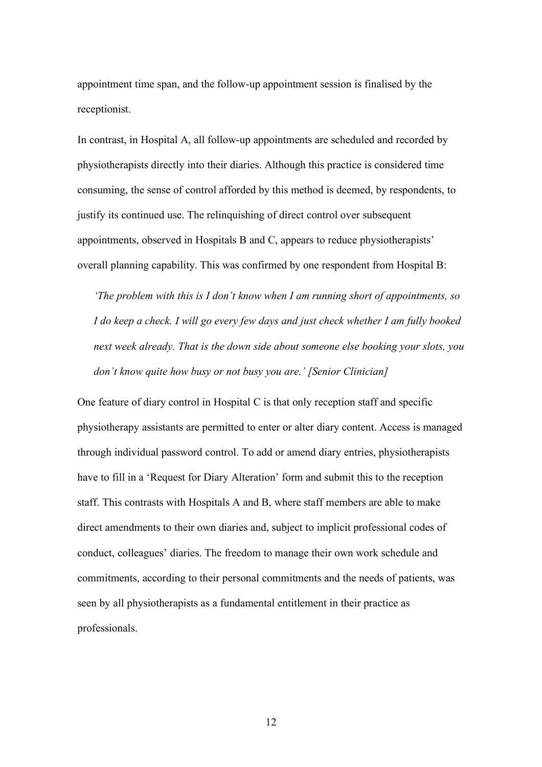appointment time span, and the follow-up appointment session is finalised by the receptionist.

In contrast, in Hospital A, all follow-up appointments are scheduled and recorded by physiotherapists directly into their diaries. Although this practice is considered time consuming, the sense of control afforded by this method is deemed, by respondents, to justify its continued use. The relinquishing of direct control over subsequent appointments, observed in Hospitals B and C, appears to reduce physiotherapists' overall planning capability. This was confirmed by one respondent from Hospital B:

*'The problem with this is I don't know when I am running short of appointments, so I do keep a check. I will go every few days and just check whether I am fully booked next week already. That is the down side about someone else booking your slots, you don't know quite how busy or not busy you are.' [Senior Clinician]*

One feature of diary control in Hospital C is that only reception staff and specific physiotherapy assistants are permitted to enter or alter diary content. Access is managed through individual password control. To add or amend diary entries, physiotherapists have to fill in a 'Request for Diary Alteration' form and submit this to the reception staff. This contrasts with Hospitals A and B, where staff members are able to make direct amendments to their own diaries and, subject to implicit professional codes of conduct, colleagues' diaries. The freedom to manage their own work schedule and commitments, according to their personal commitments and the needs of patients, was seen by all physiotherapists as a fundamental entitlement in their practice as professionals.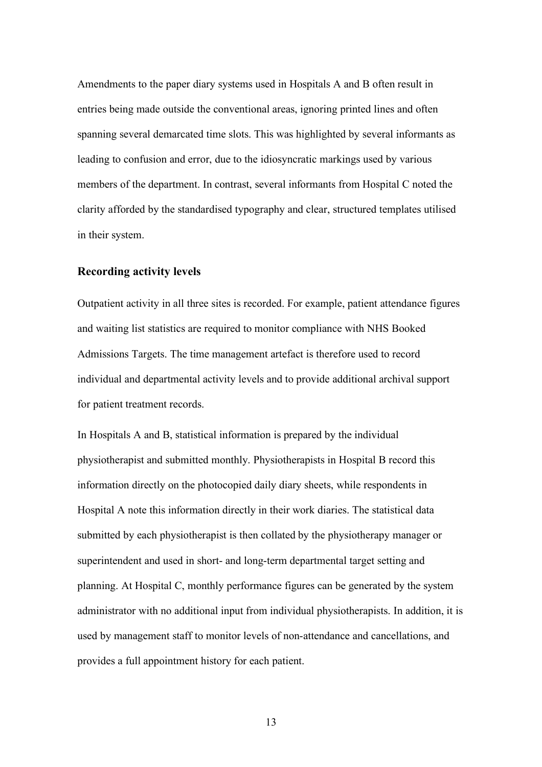Amendments to the paper diary systems used in Hospitals A and B often result in entries being made outside the conventional areas, ignoring printed lines and often spanning several demarcated time slots. This was highlighted by several informants as leading to confusion and error, due to the idiosyncratic markings used by various members of the department. In contrast, several informants from Hospital C noted the clarity afforded by the standardised typography and clear, structured templates utilised in their system.

#### **Recording activity levels**

Outpatient activity in all three sites is recorded. For example, patient attendance figures and waiting list statistics are required to monitor compliance with NHS Booked Admissions Targets. The time management artefact is therefore used to record individual and departmental activity levels and to provide additional archival support for patient treatment records.

In Hospitals A and B, statistical information is prepared by the individual physiotherapist and submitted monthly. Physiotherapists in Hospital B record this information directly on the photocopied daily diary sheets, while respondents in Hospital A note this information directly in their work diaries. The statistical data submitted by each physiotherapist is then collated by the physiotherapy manager or superintendent and used in short- and long-term departmental target setting and planning. At Hospital C, monthly performance figures can be generated by the system administrator with no additional input from individual physiotherapists. In addition, it is used by management staff to monitor levels of non-attendance and cancellations, and provides a full appointment history for each patient.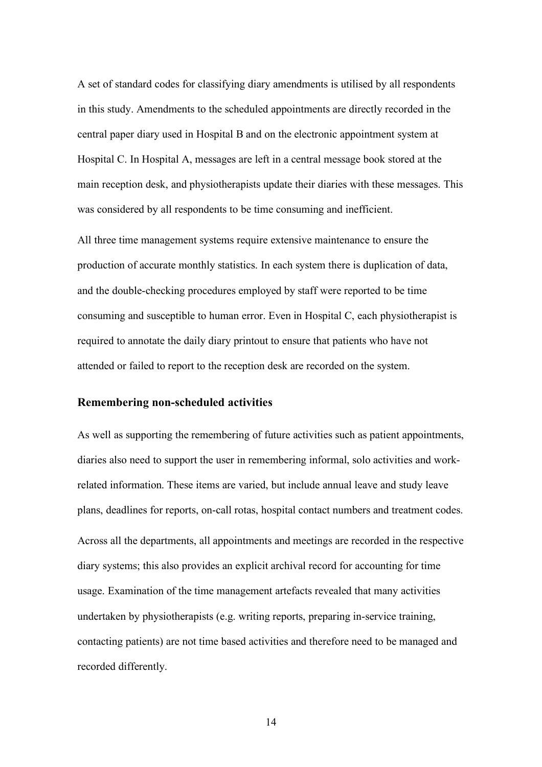A set of standard codes for classifying diary amendments is utilised by all respondents in this study. Amendments to the scheduled appointments are directly recorded in the central paper diary used in Hospital B and on the electronic appointment system at Hospital C. In Hospital A, messages are left in a central message book stored at the main reception desk, and physiotherapists update their diaries with these messages. This was considered by all respondents to be time consuming and inefficient.

All three time management systems require extensive maintenance to ensure the production of accurate monthly statistics. In each system there is duplication of data, and the double-checking procedures employed by staff were reported to be time consuming and susceptible to human error. Even in Hospital C, each physiotherapist is required to annotate the daily diary printout to ensure that patients who have not attended or failed to report to the reception desk are recorded on the system.

#### **Remembering non-scheduled activities**

As well as supporting the remembering of future activities such as patient appointments, diaries also need to support the user in remembering informal, solo activities and workrelated information. These items are varied, but include annual leave and study leave plans, deadlines for reports, on-call rotas, hospital contact numbers and treatment codes. Across all the departments, all appointments and meetings are recorded in the respective diary systems; this also provides an explicit archival record for accounting for time usage. Examination of the time management artefacts revealed that many activities undertaken by physiotherapists (e.g. writing reports, preparing in-service training, contacting patients) are not time based activities and therefore need to be managed and recorded differently.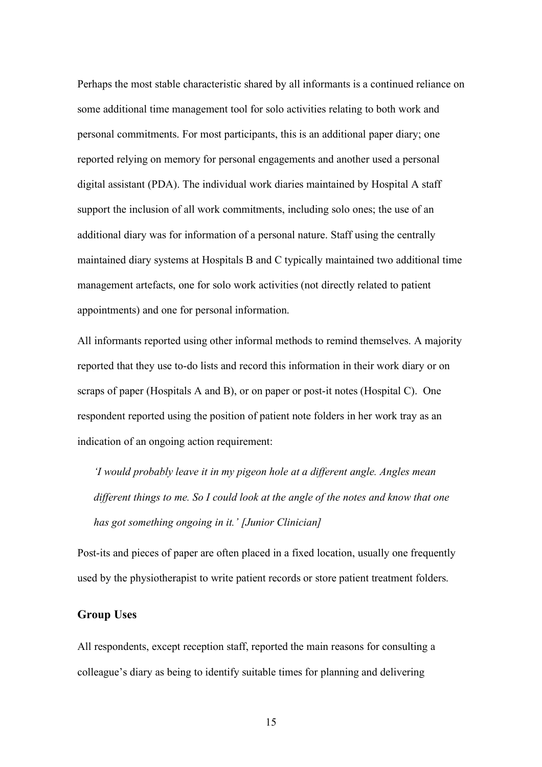Perhaps the most stable characteristic shared by all informants is a continued reliance on some additional time management tool for solo activities relating to both work and personal commitments. For most participants, this is an additional paper diary; one reported relying on memory for personal engagements and another used a personal digital assistant (PDA). The individual work diaries maintained by Hospital A staff support the inclusion of all work commitments, including solo ones; the use of an additional diary was for information of a personal nature. Staff using the centrally maintained diary systems at Hospitals B and C typically maintained two additional time management artefacts, one for solo work activities (not directly related to patient appointments) and one for personal information.

All informants reported using other informal methods to remind themselves. A majority reported that they use to-do lists and record this information in their work diary or on scraps of paper (Hospitals A and B), or on paper or post-it notes (Hospital C). One respondent reported using the position of patient note folders in her work tray as an indication of an ongoing action requirement:

*'I would probably leave it in my pigeon hole at a different angle. Angles mean different things to me. So I could look at the angle of the notes and know that one has got something ongoing in it.' [Junior Clinician]*

Post-its and pieces of paper are often placed in a fixed location, usually one frequently used by the physiotherapist to write patient records or store patient treatment folders.

#### **Group Uses**

All respondents, except reception staff, reported the main reasons for consulting a colleague's diary as being to identify suitable times for planning and delivering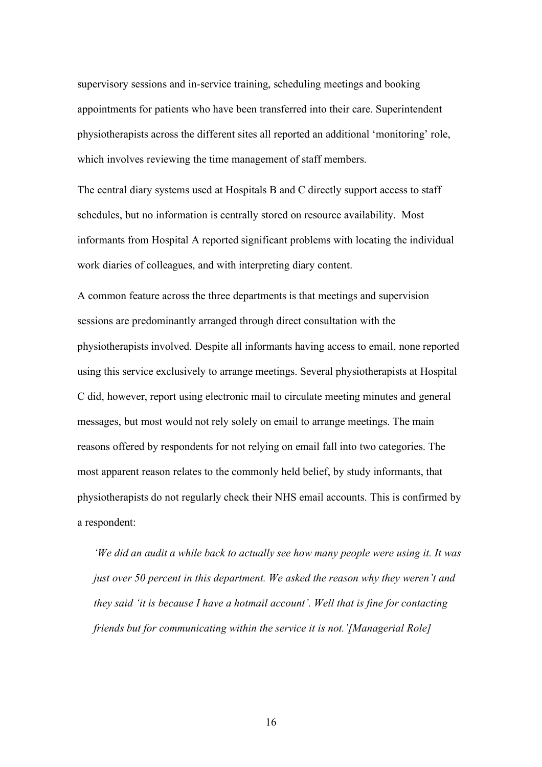supervisory sessions and in-service training, scheduling meetings and booking appointments for patients who have been transferred into their care. Superintendent physiotherapists across the different sites all reported an additional 'monitoring' role, which involves reviewing the time management of staff members.

The central diary systems used at Hospitals B and C directly support access to staff schedules, but no information is centrally stored on resource availability. Most informants from Hospital A reported significant problems with locating the individual work diaries of colleagues, and with interpreting diary content.

A common feature across the three departments is that meetings and supervision sessions are predominantly arranged through direct consultation with the physiotherapists involved. Despite all informants having access to email, none reported using this service exclusively to arrange meetings. Several physiotherapists at Hospital C did, however, report using electronic mail to circulate meeting minutes and general messages, but most would not rely solely on email to arrange meetings. The main reasons offered by respondents for not relying on email fall into two categories. The most apparent reason relates to the commonly held belief, by study informants, that physiotherapists do not regularly check their NHS email accounts. This is confirmed by a respondent:

*'We did an audit a while back to actually see how many people were using it. It was just over 50 percent in this department. We asked the reason why they weren't and they said 'it is because I have a hotmail account'. Well that is fine for contacting friends but for communicating within the service it is not.'[Managerial Role]*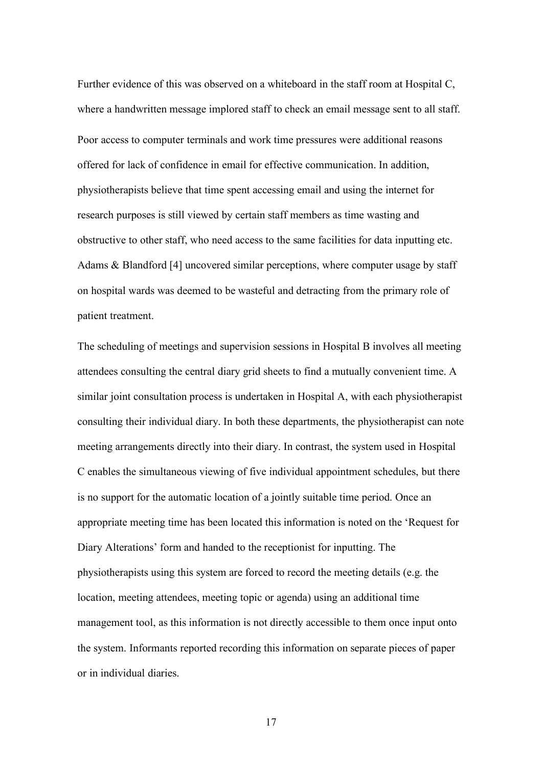Further evidence of this was observed on a whiteboard in the staff room at Hospital C, where a handwritten message implored staff to check an email message sent to all staff. Poor access to computer terminals and work time pressures were additional reasons offered for lack of confidence in email for effective communication. In addition, physiotherapists believe that time spent accessing email and using the internet for research purposes is still viewed by certain staff members as time wasting and obstructive to other staff, who need access to the same facilities for data inputting etc. Adams & Blandford [4] uncovered similar perceptions, where computer usage by staff on hospital wards was deemed to be wasteful and detracting from the primary role of patient treatment.

The scheduling of meetings and supervision sessions in Hospital B involves all meeting attendees consulting the central diary grid sheets to find a mutually convenient time. A similar joint consultation process is undertaken in Hospital A, with each physiotherapist consulting their individual diary. In both these departments, the physiotherapist can note meeting arrangements directly into their diary. In contrast, the system used in Hospital C enables the simultaneous viewing of five individual appointment schedules, but there is no support for the automatic location of a jointly suitable time period. Once an appropriate meeting time has been located this information is noted on the 'Request for Diary Alterations' form and handed to the receptionist for inputting. The physiotherapists using this system are forced to record the meeting details (e.g. the location, meeting attendees, meeting topic or agenda) using an additional time management tool, as this information is not directly accessible to them once input onto the system. Informants reported recording this information on separate pieces of paper or in individual diaries.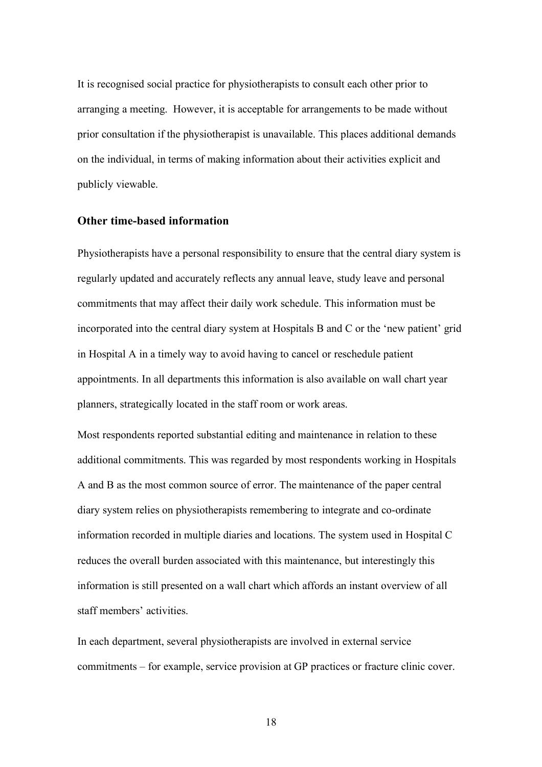It is recognised social practice for physiotherapists to consult each other prior to arranging a meeting. However, it is acceptable for arrangements to be made without prior consultation if the physiotherapist is unavailable. This places additional demands on the individual, in terms of making information about their activities explicit and publicly viewable.

#### **Other time-based information**

Physiotherapists have a personal responsibility to ensure that the central diary system is regularly updated and accurately reflects any annual leave, study leave and personal commitments that may affect their daily work schedule. This information must be incorporated into the central diary system at Hospitals B and C or the 'new patient' grid in Hospital A in a timely way to avoid having to cancel or reschedule patient appointments. In all departments this information is also available on wall chart year planners, strategically located in the staff room or work areas.

Most respondents reported substantial editing and maintenance in relation to these additional commitments. This was regarded by most respondents working in Hospitals A and B as the most common source of error. The maintenance of the paper central diary system relies on physiotherapists remembering to integrate and co-ordinate information recorded in multiple diaries and locations. The system used in Hospital C reduces the overall burden associated with this maintenance, but interestingly this information is still presented on a wall chart which affords an instant overview of all staff members' activities.

In each department, several physiotherapists are involved in external service commitments – for example, service provision at GP practices or fracture clinic cover.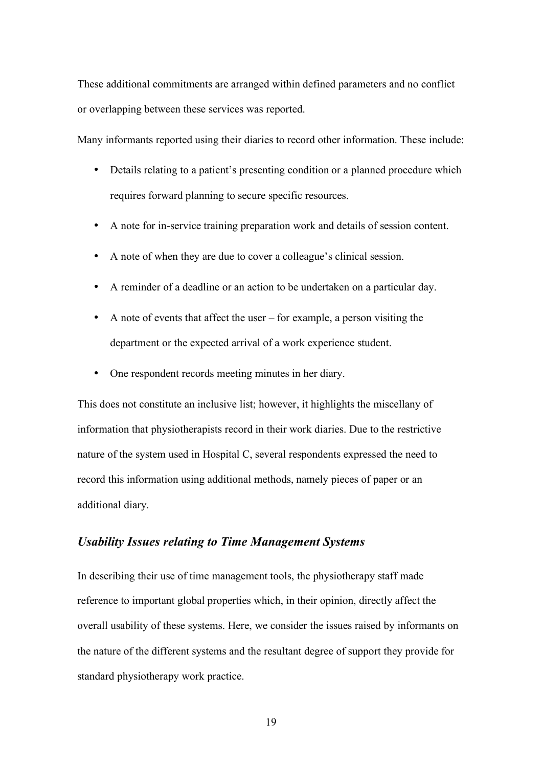These additional commitments are arranged within defined parameters and no conflict or overlapping between these services was reported.

Many informants reported using their diaries to record other information. These include:

- Details relating to a patient's presenting condition or a planned procedure which requires forward planning to secure specific resources.
- A note for in-service training preparation work and details of session content.
- A note of when they are due to cover a colleague's clinical session.
- A reminder of a deadline or an action to be undertaken on a particular day.
- A note of events that affect the user for example, a person visiting the department or the expected arrival of a work experience student.
- One respondent records meeting minutes in her diary.

This does not constitute an inclusive list; however, it highlights the miscellany of information that physiotherapists record in their work diaries. Due to the restrictive nature of the system used in Hospital C, several respondents expressed the need to record this information using additional methods, namely pieces of paper or an additional diary.

#### *Usability Issues relating to Time Management Systems*

In describing their use of time management tools, the physiotherapy staff made reference to important global properties which, in their opinion, directly affect the overall usability of these systems. Here, we consider the issues raised by informants on the nature of the different systems and the resultant degree of support they provide for standard physiotherapy work practice.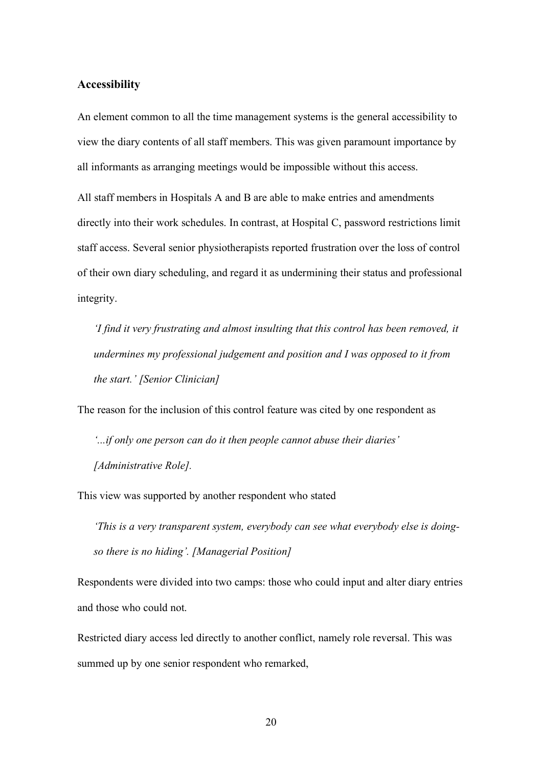#### **Accessibility**

An element common to all the time management systems is the general accessibility to view the diary contents of all staff members. This was given paramount importance by all informants as arranging meetings would be impossible without this access.

All staff members in Hospitals A and B are able to make entries and amendments directly into their work schedules. In contrast, at Hospital C, password restrictions limit staff access. Several senior physiotherapists reported frustration over the loss of control of their own diary scheduling, and regard it as undermining their status and professional integrity.

*'I find it very frustrating and almost insulting that this control has been removed, it undermines my professional judgement and position and I was opposed to it from the start.' [Senior Clinician]*

The reason for the inclusion of this control feature was cited by one respondent as

*'...if only one person can do it then people cannot abuse their diaries' [Administrative Role].*

This view was supported by another respondent who stated

*'This is a very transparent system, everybody can see what everybody else is doingso there is no hiding'. [Managerial Position]*

Respondents were divided into two camps: those who could input and alter diary entries and those who could not.

Restricted diary access led directly to another conflict, namely role reversal. This was summed up by one senior respondent who remarked,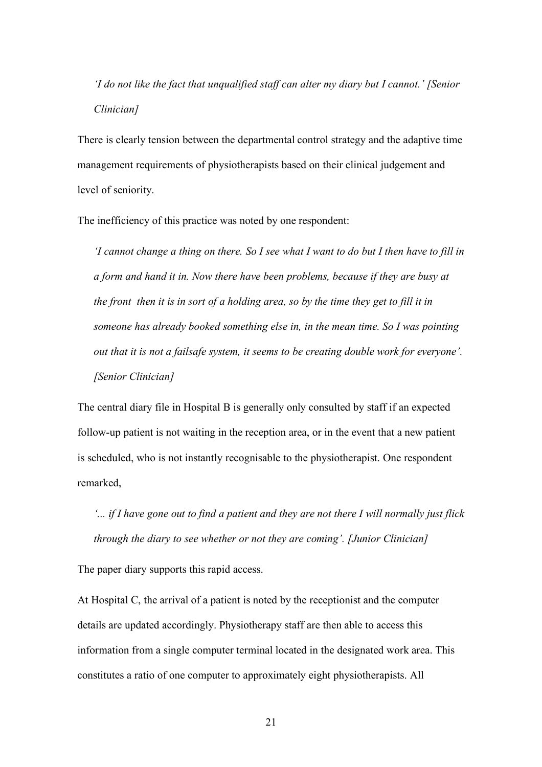*'I do not like the fact that unqualified staff can alter my diary but I cannot.' [Senior Clinician]*

There is clearly tension between the departmental control strategy and the adaptive time management requirements of physiotherapists based on their clinical judgement and level of seniority.

The inefficiency of this practice was noted by one respondent:

*'I cannot change a thing on there. So I see what I want to do but I then have to fill in a form and hand it in. Now there have been problems, because if they are busy at the front then it is in sort of a holding area, so by the time they get to fill it in someone has already booked something else in, in the mean time. So I was pointing out that it is not a failsafe system, it seems to be creating double work for everyone'. [Senior Clinician]*

The central diary file in Hospital B is generally only consulted by staff if an expected follow-up patient is not waiting in the reception area, or in the event that a new patient is scheduled, who is not instantly recognisable to the physiotherapist. One respondent remarked,

*'... if I have gone out to find a patient and they are not there I will normally just flick through the diary to see whether or not they are coming'. [Junior Clinician]*

The paper diary supports this rapid access.

At Hospital C, the arrival of a patient is noted by the receptionist and the computer details are updated accordingly. Physiotherapy staff are then able to access this information from a single computer terminal located in the designated work area. This constitutes a ratio of one computer to approximately eight physiotherapists. All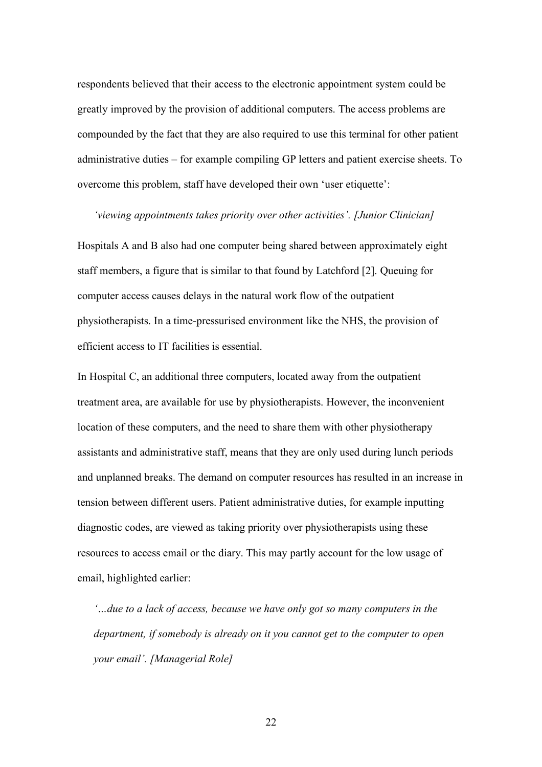respondents believed that their access to the electronic appointment system could be greatly improved by the provision of additional computers. The access problems are compounded by the fact that they are also required to use this terminal for other patient administrative duties – for example compiling GP letters and patient exercise sheets. To overcome this problem, staff have developed their own 'user etiquette':

#### *'viewing appointments takes priority over other activities'. [Junior Clinician]*

Hospitals A and B also had one computer being shared between approximately eight staff members, a figure that is similar to that found by Latchford [2]. Queuing for computer access causes delays in the natural work flow of the outpatient physiotherapists. In a time-pressurised environment like the NHS, the provision of efficient access to IT facilities is essential.

In Hospital C, an additional three computers, located away from the outpatient treatment area, are available for use by physiotherapists. However, the inconvenient location of these computers, and the need to share them with other physiotherapy assistants and administrative staff, means that they are only used during lunch periods and unplanned breaks. The demand on computer resources has resulted in an increase in tension between different users. Patient administrative duties, for example inputting diagnostic codes, are viewed as taking priority over physiotherapists using these resources to access email or the diary. This may partly account for the low usage of email, highlighted earlier:

*'…due to a lack of access, because we have only got so many computers in the department, if somebody is already on it you cannot get to the computer to open your email'. [Managerial Role]*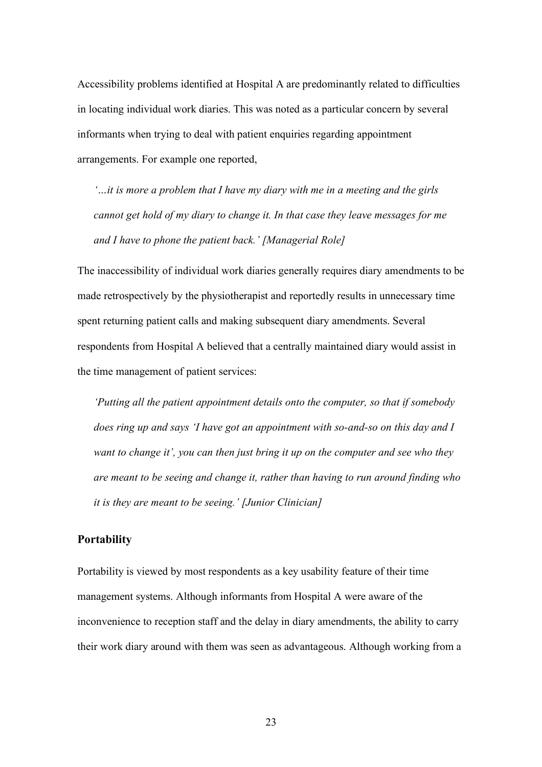Accessibility problems identified at Hospital A are predominantly related to difficulties in locating individual work diaries. This was noted as a particular concern by several informants when trying to deal with patient enquiries regarding appointment arrangements. For example one reported,

*'…it is more a problem that I have my diary with me in a meeting and the girls cannot get hold of my diary to change it. In that case they leave messages for me and I have to phone the patient back.' [Managerial Role]*

The inaccessibility of individual work diaries generally requires diary amendments to be made retrospectively by the physiotherapist and reportedly results in unnecessary time spent returning patient calls and making subsequent diary amendments. Several respondents from Hospital A believed that a centrally maintained diary would assist in the time management of patient services:

*'Putting all the patient appointment details onto the computer, so that if somebody does ring up and says 'I have got an appointment with so-and-so on this day and I want to change it', you can then just bring it up on the computer and see who they are meant to be seeing and change it, rather than having to run around finding who it is they are meant to be seeing.' [Junior Clinician]*

#### **Portability**

Portability is viewed by most respondents as a key usability feature of their time management systems. Although informants from Hospital A were aware of the inconvenience to reception staff and the delay in diary amendments, the ability to carry their work diary around with them was seen as advantageous. Although working from a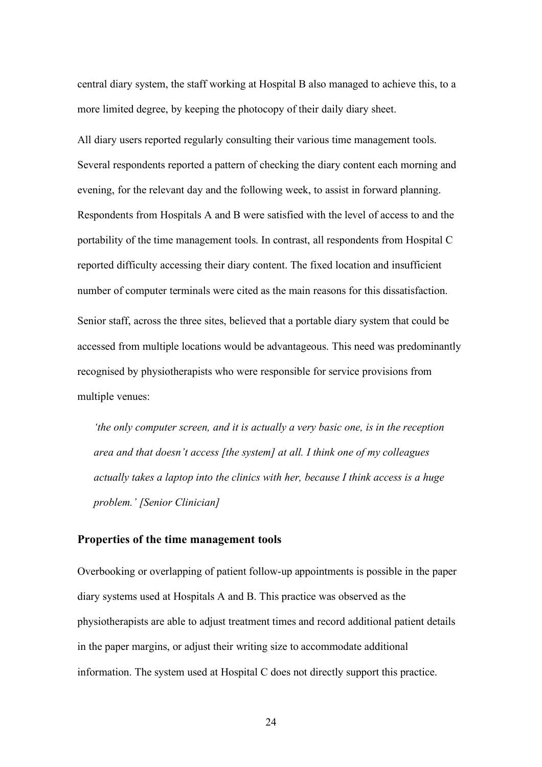central diary system, the staff working at Hospital B also managed to achieve this, to a more limited degree, by keeping the photocopy of their daily diary sheet.

All diary users reported regularly consulting their various time management tools. Several respondents reported a pattern of checking the diary content each morning and evening, for the relevant day and the following week, to assist in forward planning. Respondents from Hospitals A and B were satisfied with the level of access to and the portability of the time management tools. In contrast, all respondents from Hospital C reported difficulty accessing their diary content. The fixed location and insufficient number of computer terminals were cited as the main reasons for this dissatisfaction. Senior staff, across the three sites, believed that a portable diary system that could be accessed from multiple locations would be advantageous. This need was predominantly recognised by physiotherapists who were responsible for service provisions from multiple venues:

*'the only computer screen, and it is actually a very basic one, is in the reception area and that doesn't access [the system] at all. I think one of my colleagues actually takes a laptop into the clinics with her, because I think access is a huge problem.' [Senior Clinician]*

#### **Properties of the time management tools**

Overbooking or overlapping of patient follow-up appointments is possible in the paper diary systems used at Hospitals A and B. This practice was observed as the physiotherapists are able to adjust treatment times and record additional patient details in the paper margins, or adjust their writing size to accommodate additional information. The system used at Hospital C does not directly support this practice.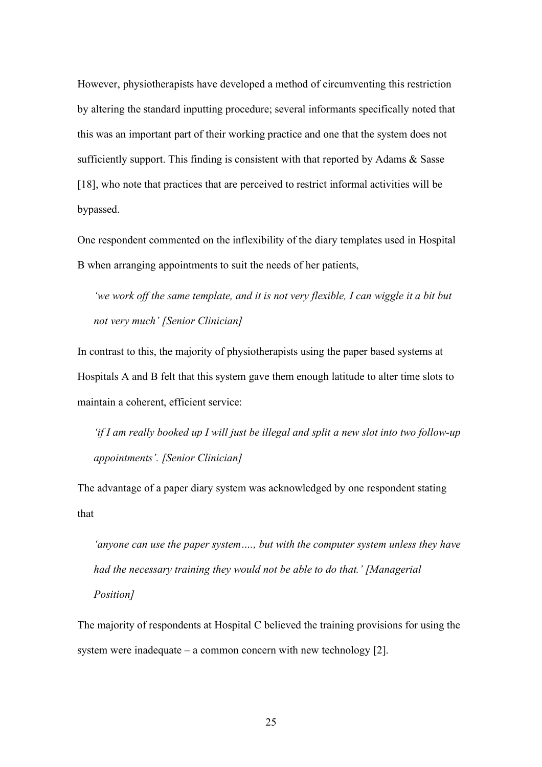However, physiotherapists have developed a method of circumventing this restriction by altering the standard inputting procedure; several informants specifically noted that this was an important part of their working practice and one that the system does not sufficiently support. This finding is consistent with that reported by Adams & Sasse [18], who note that practices that are perceived to restrict informal activities will be bypassed.

One respondent commented on the inflexibility of the diary templates used in Hospital B when arranging appointments to suit the needs of her patients,

*'we work off the same template, and it is not very flexible, I can wiggle it a bit but not very much' [Senior Clinician]*

In contrast to this, the majority of physiotherapists using the paper based systems at Hospitals A and B felt that this system gave them enough latitude to alter time slots to maintain a coherent, efficient service:

*'if I am really booked up I will just be illegal and split a new slot into two follow-up appointments'. [Senior Clinician]*

The advantage of a paper diary system was acknowledged by one respondent stating that

*'anyone can use the paper system…., but with the computer system unless they have had the necessary training they would not be able to do that.' [Managerial Position]*

The majority of respondents at Hospital C believed the training provisions for using the system were inadequate – a common concern with new technology [2].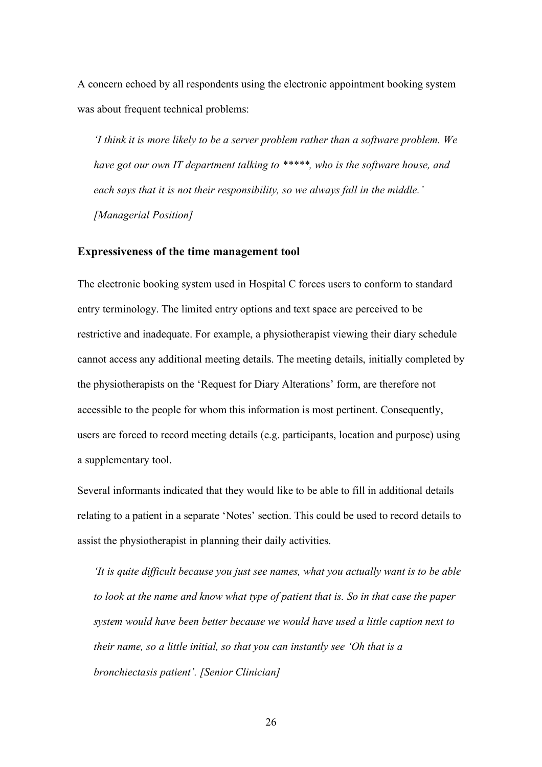A concern echoed by all respondents using the electronic appointment booking system was about frequent technical problems:

*'I think it is more likely to be a server problem rather than a software problem. We have got our own IT department talking to \*\*\*\*\*, who is the software house, and each says that it is not their responsibility, so we always fall in the middle.' [Managerial Position]*

#### **Expressiveness of the time management tool**

The electronic booking system used in Hospital C forces users to conform to standard entry terminology. The limited entry options and text space are perceived to be restrictive and inadequate. For example, a physiotherapist viewing their diary schedule cannot access any additional meeting details. The meeting details, initially completed by the physiotherapists on the 'Request for Diary Alterations' form, are therefore not accessible to the people for whom this information is most pertinent. Consequently, users are forced to record meeting details (e.g. participants, location and purpose) using a supplementary tool.

Several informants indicated that they would like to be able to fill in additional details relating to a patient in a separate 'Notes' section. This could be used to record details to assist the physiotherapist in planning their daily activities.

*'It is quite difficult because you just see names, what you actually want is to be able to look at the name and know what type of patient that is. So in that case the paper system would have been better because we would have used a little caption next to their name, so a little initial, so that you can instantly see 'Oh that is a bronchiectasis patient'. [Senior Clinician]*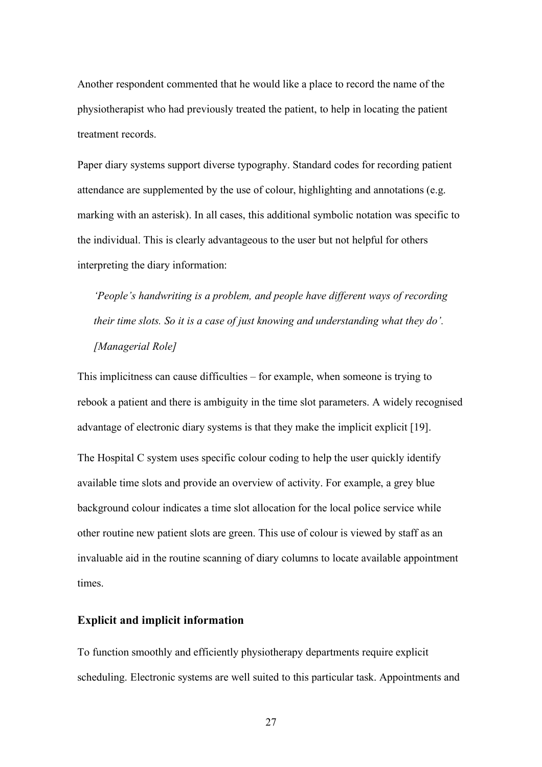Another respondent commented that he would like a place to record the name of the physiotherapist who had previously treated the patient, to help in locating the patient treatment records.

Paper diary systems support diverse typography. Standard codes for recording patient attendance are supplemented by the use of colour, highlighting and annotations (e.g. marking with an asterisk). In all cases, this additional symbolic notation was specific to the individual. This is clearly advantageous to the user but not helpful for others interpreting the diary information:

*'People's handwriting is a problem, and people have different ways of recording their time slots. So it is a case of just knowing and understanding what they do'. [Managerial Role]*

This implicitness can cause difficulties – for example, when someone is trying to rebook a patient and there is ambiguity in the time slot parameters. A widely recognised advantage of electronic diary systems is that they make the implicit explicit [19]. The Hospital C system uses specific colour coding to help the user quickly identify available time slots and provide an overview of activity. For example, a grey blue background colour indicates a time slot allocation for the local police service while other routine new patient slots are green. This use of colour is viewed by staff as an invaluable aid in the routine scanning of diary columns to locate available appointment times.

#### **Explicit and implicit information**

To function smoothly and efficiently physiotherapy departments require explicit scheduling. Electronic systems are well suited to this particular task. Appointments and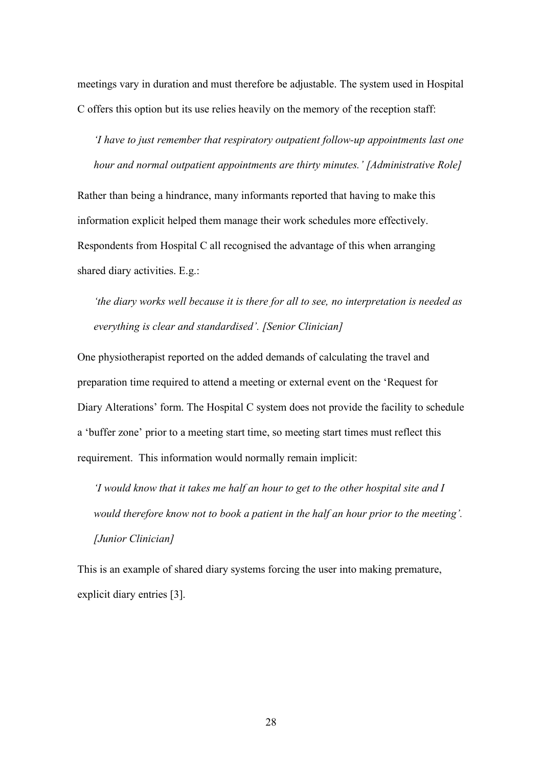meetings vary in duration and must therefore be adjustable. The system used in Hospital C offers this option but its use relies heavily on the memory of the reception staff:

*'I have to just remember that respiratory outpatient follow-up appointments last one hour and normal outpatient appointments are thirty minutes.' [Administrative Role]*

Rather than being a hindrance, many informants reported that having to make this information explicit helped them manage their work schedules more effectively. Respondents from Hospital C all recognised the advantage of this when arranging shared diary activities. E.g.:

*'the diary works well because it is there for all to see, no interpretation is needed as everything is clear and standardised'. [Senior Clinician]*

One physiotherapist reported on the added demands of calculating the travel and preparation time required to attend a meeting or external event on the 'Request for Diary Alterations' form. The Hospital C system does not provide the facility to schedule a 'buffer zone' prior to a meeting start time, so meeting start times must reflect this requirement. This information would normally remain implicit:

*'I would know that it takes me half an hour to get to the other hospital site and I would therefore know not to book a patient in the half an hour prior to the meeting'. [Junior Clinician]*

This is an example of shared diary systems forcing the user into making premature, explicit diary entries [3].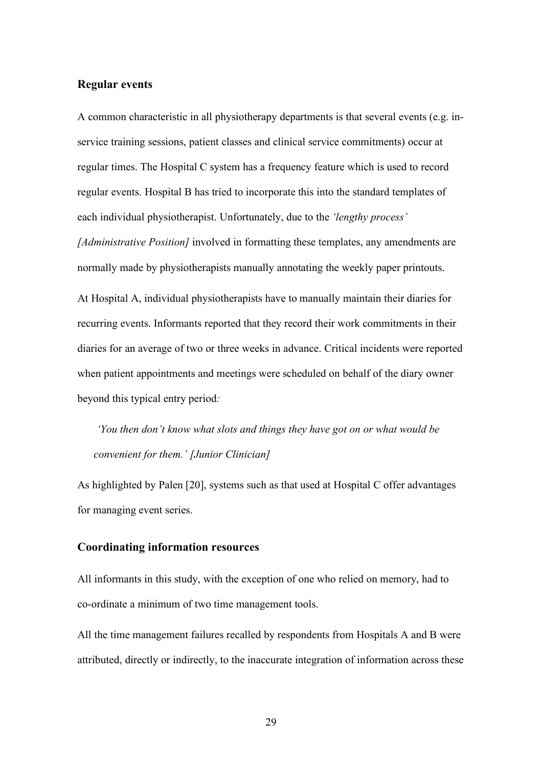#### **Regular events**

A common characteristic in all physiotherapy departments is that several events (e.g. inservice training sessions, patient classes and clinical service commitments) occur at regular times. The Hospital C system has a frequency feature which is used to record regular events. Hospital B has tried to incorporate this into the standard templates of each individual physiotherapist. Unfortunately, due to the *'lengthy process' [Administrative Position]* involved in formatting these templates, any amendments are normally made by physiotherapists manually annotating the weekly paper printouts.

At Hospital A, individual physiotherapists have to manually maintain their diaries for recurring events. Informants reported that they record their work commitments in their diaries for an average of two or three weeks in advance. Critical incidents were reported when patient appointments and meetings were scheduled on behalf of the diary owner beyond this typical entry period*:*

*'You then don't know what slots and things they have got on or what would be convenient for them.' [Junior Clinician]*

As highlighted by Palen [20], systems such as that used at Hospital C offer advantages for managing event series.

#### **Coordinating information resources**

All informants in this study, with the exception of one who relied on memory, had to co-ordinate a minimum of two time management tools.

All the time management failures recalled by respondents from Hospitals A and B were attributed, directly or indirectly, to the inaccurate integration of information across these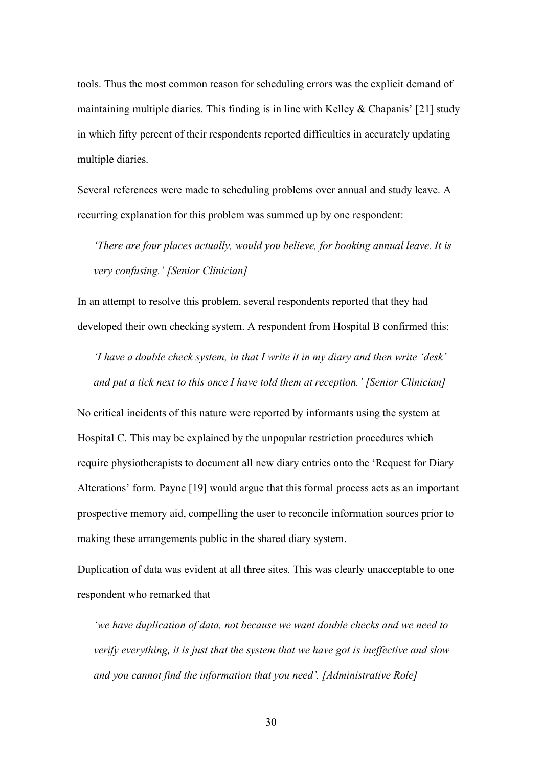tools. Thus the most common reason for scheduling errors was the explicit demand of maintaining multiple diaries. This finding is in line with Kelley  $&$  Chapanis' [21] study in which fifty percent of their respondents reported difficulties in accurately updating multiple diaries.

Several references were made to scheduling problems over annual and study leave. A recurring explanation for this problem was summed up by one respondent:

*'There are four places actually, would you believe, for booking annual leave. It is very confusing.' [Senior Clinician]*

In an attempt to resolve this problem, several respondents reported that they had developed their own checking system. A respondent from Hospital B confirmed this:

*'I have a double check system, in that I write it in my diary and then write 'desk' and put a tick next to this once I have told them at reception.' [Senior Clinician]*

No critical incidents of this nature were reported by informants using the system at Hospital C. This may be explained by the unpopular restriction procedures which require physiotherapists to document all new diary entries onto the 'Request for Diary Alterations' form. Payne [19] would argue that this formal process acts as an important prospective memory aid, compelling the user to reconcile information sources prior to making these arrangements public in the shared diary system.

Duplication of data was evident at all three sites. This was clearly unacceptable to one respondent who remarked that

*'we have duplication of data, not because we want double checks and we need to verify everything, it is just that the system that we have got is ineffective and slow and you cannot find the information that you need'. [Administrative Role]*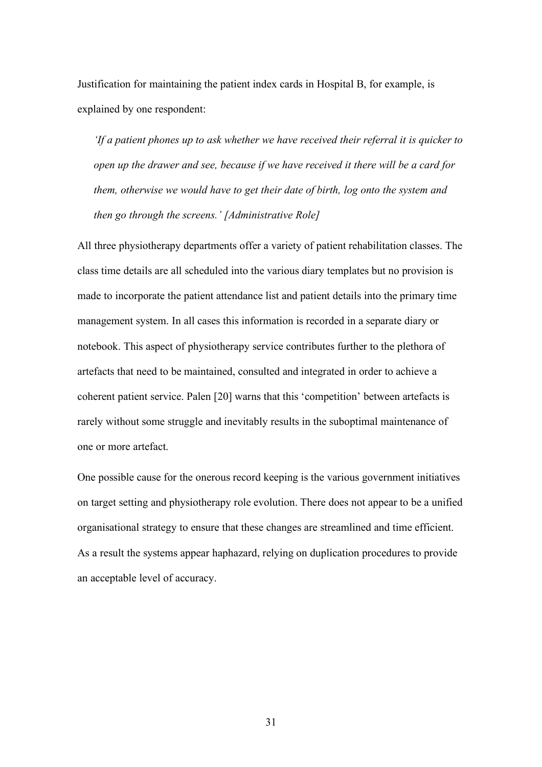Justification for maintaining the patient index cards in Hospital B, for example, is explained by one respondent:

*'If a patient phones up to ask whether we have received their referral it is quicker to open up the drawer and see, because if we have received it there will be a card for them, otherwise we would have to get their date of birth, log onto the system and then go through the screens.' [Administrative Role]*

All three physiotherapy departments offer a variety of patient rehabilitation classes. The class time details are all scheduled into the various diary templates but no provision is made to incorporate the patient attendance list and patient details into the primary time management system. In all cases this information is recorded in a separate diary or notebook. This aspect of physiotherapy service contributes further to the plethora of artefacts that need to be maintained, consulted and integrated in order to achieve a coherent patient service. Palen [20] warns that this 'competition' between artefacts is rarely without some struggle and inevitably results in the suboptimal maintenance of one or more artefact.

One possible cause for the onerous record keeping is the various government initiatives on target setting and physiotherapy role evolution. There does not appear to be a unified organisational strategy to ensure that these changes are streamlined and time efficient. As a result the systems appear haphazard, relying on duplication procedures to provide an acceptable level of accuracy.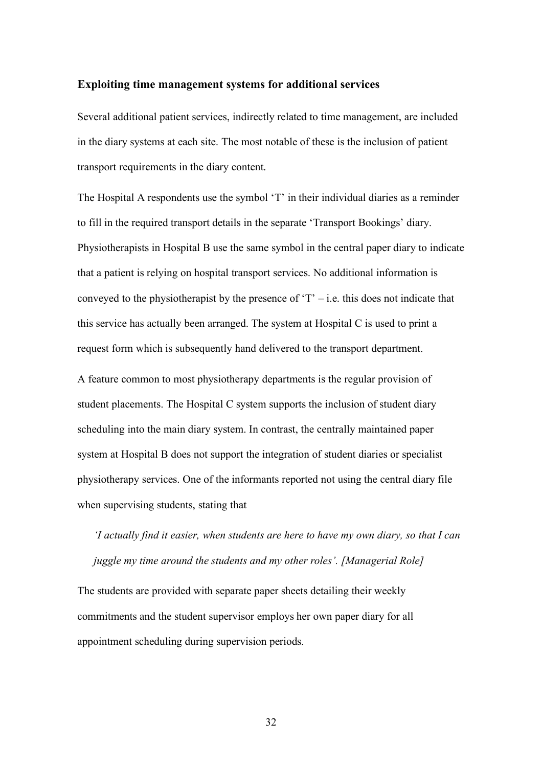#### **Exploiting time management systems for additional services**

Several additional patient services, indirectly related to time management, are included in the diary systems at each site. The most notable of these is the inclusion of patient transport requirements in the diary content.

The Hospital A respondents use the symbol 'T' in their individual diaries as a reminder to fill in the required transport details in the separate 'Transport Bookings' diary. Physiotherapists in Hospital B use the same symbol in the central paper diary to indicate that a patient is relying on hospital transport services. No additional information is conveyed to the physiotherapist by the presence of  $T - i.e.$  this does not indicate that this service has actually been arranged. The system at Hospital C is used to print a request form which is subsequently hand delivered to the transport department.

A feature common to most physiotherapy departments is the regular provision of student placements. The Hospital C system supports the inclusion of student diary scheduling into the main diary system. In contrast, the centrally maintained paper system at Hospital B does not support the integration of student diaries or specialist physiotherapy services. One of the informants reported not using the central diary file when supervising students, stating that

*'I actually find it easier, when students are here to have my own diary, so that I can juggle my time around the students and my other roles'. [Managerial Role]*

The students are provided with separate paper sheets detailing their weekly commitments and the student supervisor employs her own paper diary for all appointment scheduling during supervision periods.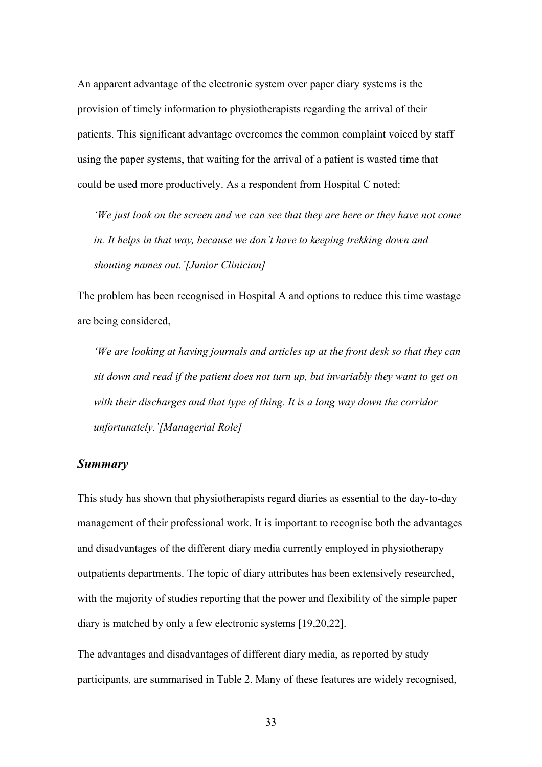An apparent advantage of the electronic system over paper diary systems is the provision of timely information to physiotherapists regarding the arrival of their patients. This significant advantage overcomes the common complaint voiced by staff using the paper systems, that waiting for the arrival of a patient is wasted time that could be used more productively. As a respondent from Hospital C noted:

*'We just look on the screen and we can see that they are here or they have not come in. It helps in that way, because we don't have to keeping trekking down and shouting names out.'[Junior Clinician]*

The problem has been recognised in Hospital A and options to reduce this time wastage are being considered,

*'We are looking at having journals and articles up at the front desk so that they can sit down and read if the patient does not turn up, but invariably they want to get on with their discharges and that type of thing. It is a long way down the corridor unfortunately.'[Managerial Role]*

#### *Summary*

This study has shown that physiotherapists regard diaries as essential to the day-to-day management of their professional work. It is important to recognise both the advantages and disadvantages of the different diary media currently employed in physiotherapy outpatients departments. The topic of diary attributes has been extensively researched, with the majority of studies reporting that the power and flexibility of the simple paper diary is matched by only a few electronic systems [19,20,22].

The advantages and disadvantages of different diary media, as reported by study participants, are summarised in Table 2. Many of these features are widely recognised,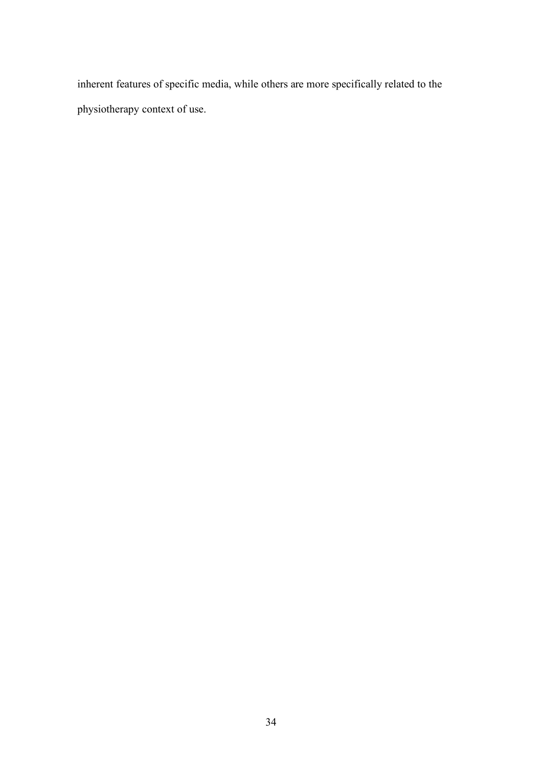inherent features of specific media, while others are more specifically related to the physiotherapy context of use.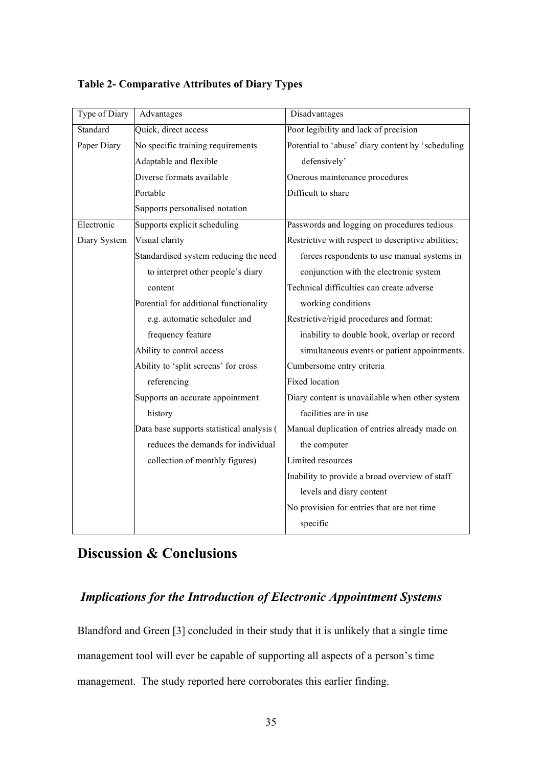| Type of Diary | Advantages                                | Disadvantages                                      |  |
|---------------|-------------------------------------------|----------------------------------------------------|--|
| Standard      | Quick, direct access                      | Poor legibility and lack of precision              |  |
| Paper Diary   | No specific training requirements         | Potential to 'abuse' diary content by 'scheduling  |  |
|               | Adaptable and flexible                    | defensively'                                       |  |
|               | Diverse formats available                 | Onerous maintenance procedures                     |  |
|               | Portable                                  | Difficult to share                                 |  |
|               | Supports personalised notation            |                                                    |  |
| Electronic    | Supports explicit scheduling              | Passwords and logging on procedures tedious        |  |
| Diary System  | Visual clarity                            | Restrictive with respect to descriptive abilities; |  |
|               | Standardised system reducing the need     | forces respondents to use manual systems in        |  |
|               | to interpret other people's diary         | conjunction with the electronic system             |  |
|               | content                                   | Technical difficulties can create adverse          |  |
|               | Potential for additional functionality    | working conditions                                 |  |
|               | e.g. automatic scheduler and              | Restrictive/rigid procedures and format:           |  |
|               | frequency feature                         | inability to double book, overlap or record        |  |
|               | Ability to control access                 | simultaneous events or patient appointments.       |  |
|               | Ability to 'split screens' for cross      | Cumbersome entry criteria                          |  |
|               | referencing                               | <b>Fixed location</b>                              |  |
|               | Supports an accurate appointment          | Diary content is unavailable when other system     |  |
|               | history                                   | facilities are in use                              |  |
|               | Data base supports statistical analysis ( | Manual duplication of entries already made on      |  |
|               | reduces the demands for individual        | the computer                                       |  |
|               | collection of monthly figures)            | Limited resources                                  |  |
|               |                                           | Inability to provide a broad overview of staff     |  |
|               |                                           | levels and diary content                           |  |
|               |                                           | No provision for entries that are not time         |  |
|               |                                           | specific                                           |  |

#### **Table 2- Comparative Attributes of Diary Types**

## **Discussion & Conclusions**

## *Implications for the Introduction of Electronic Appointment Systems*

Blandford and Green [3] concluded in their study that it is unlikely that a single time management tool will ever be capable of supporting all aspects of a person's time management. The study reported here corroborates this earlier finding.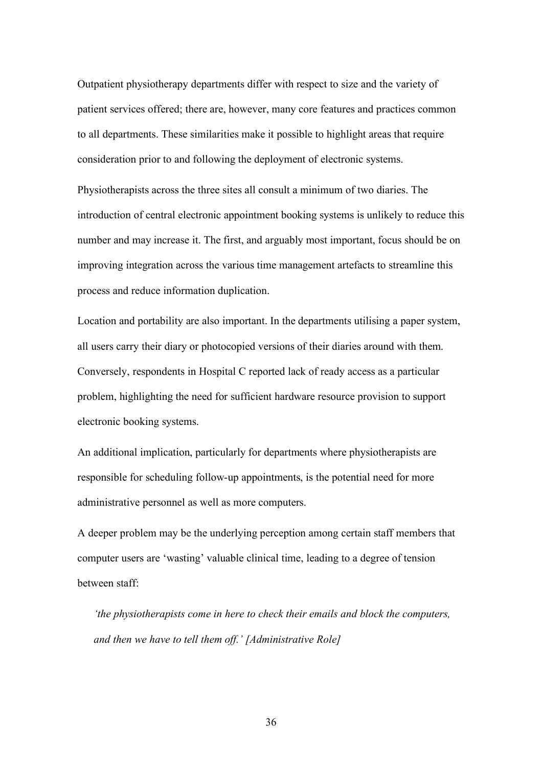Outpatient physiotherapy departments differ with respect to size and the variety of patient services offered; there are, however, many core features and practices common to all departments. These similarities make it possible to highlight areas that require consideration prior to and following the deployment of electronic systems.

Physiotherapists across the three sites all consult a minimum of two diaries. The introduction of central electronic appointment booking systems is unlikely to reduce this number and may increase it. The first, and arguably most important, focus should be on improving integration across the various time management artefacts to streamline this process and reduce information duplication.

Location and portability are also important. In the departments utilising a paper system, all users carry their diary or photocopied versions of their diaries around with them. Conversely, respondents in Hospital C reported lack of ready access as a particular problem, highlighting the need for sufficient hardware resource provision to support electronic booking systems.

An additional implication, particularly for departments where physiotherapists are responsible for scheduling follow-up appointments, is the potential need for more administrative personnel as well as more computers.

A deeper problem may be the underlying perception among certain staff members that computer users are 'wasting' valuable clinical time, leading to a degree of tension between staff:

*'the physiotherapists come in here to check their emails and block the computers, and then we have to tell them off.' [Administrative Role]*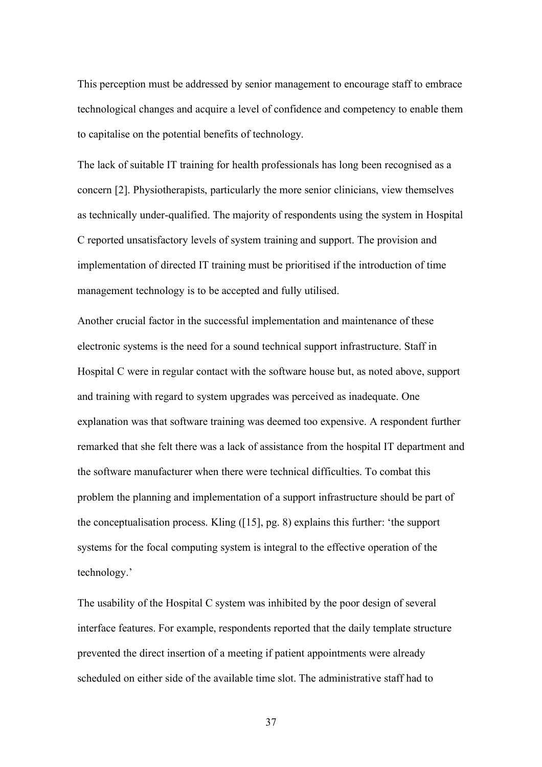This perception must be addressed by senior management to encourage staff to embrace technological changes and acquire a level of confidence and competency to enable them to capitalise on the potential benefits of technology.

The lack of suitable IT training for health professionals has long been recognised as a concern [2]. Physiotherapists, particularly the more senior clinicians, view themselves as technically under-qualified. The majority of respondents using the system in Hospital C reported unsatisfactory levels of system training and support. The provision and implementation of directed IT training must be prioritised if the introduction of time management technology is to be accepted and fully utilised.

Another crucial factor in the successful implementation and maintenance of these electronic systems is the need for a sound technical support infrastructure. Staff in Hospital C were in regular contact with the software house but, as noted above, support and training with regard to system upgrades was perceived as inadequate. One explanation was that software training was deemed too expensive. A respondent further remarked that she felt there was a lack of assistance from the hospital IT department and the software manufacturer when there were technical difficulties. To combat this problem the planning and implementation of a support infrastructure should be part of the conceptualisation process. Kling ([15], pg. 8) explains this further: 'the support systems for the focal computing system is integral to the effective operation of the technology.'

The usability of the Hospital C system was inhibited by the poor design of several interface features. For example, respondents reported that the daily template structure prevented the direct insertion of a meeting if patient appointments were already scheduled on either side of the available time slot. The administrative staff had to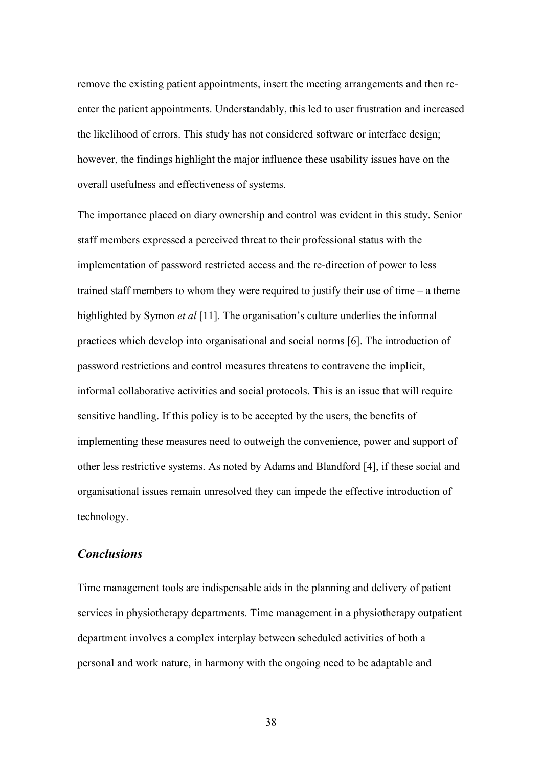remove the existing patient appointments, insert the meeting arrangements and then reenter the patient appointments. Understandably, this led to user frustration and increased the likelihood of errors. This study has not considered software or interface design; however, the findings highlight the major influence these usability issues have on the overall usefulness and effectiveness of systems.

The importance placed on diary ownership and control was evident in this study. Senior staff members expressed a perceived threat to their professional status with the implementation of password restricted access and the re-direction of power to less trained staff members to whom they were required to justify their use of time – a theme highlighted by Symon *et al* [11]. The organisation's culture underlies the informal practices which develop into organisational and social norms [6]. The introduction of password restrictions and control measures threatens to contravene the implicit, informal collaborative activities and social protocols. This is an issue that will require sensitive handling. If this policy is to be accepted by the users, the benefits of implementing these measures need to outweigh the convenience, power and support of other less restrictive systems. As noted by Adams and Blandford [4], if these social and organisational issues remain unresolved they can impede the effective introduction of technology.

#### *Conclusions*

Time management tools are indispensable aids in the planning and delivery of patient services in physiotherapy departments. Time management in a physiotherapy outpatient department involves a complex interplay between scheduled activities of both a personal and work nature, in harmony with the ongoing need to be adaptable and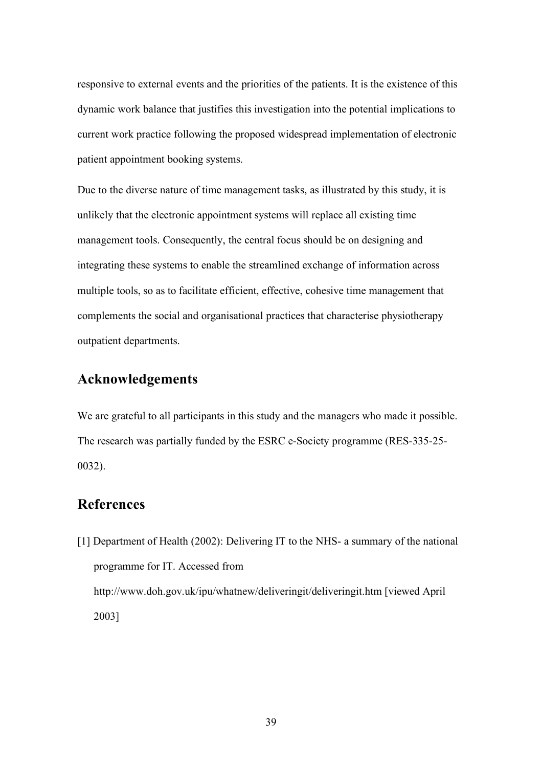responsive to external events and the priorities of the patients. It is the existence of this dynamic work balance that justifies this investigation into the potential implications to current work practice following the proposed widespread implementation of electronic patient appointment booking systems.

Due to the diverse nature of time management tasks, as illustrated by this study, it is unlikely that the electronic appointment systems will replace all existing time management tools. Consequently, the central focus should be on designing and integrating these systems to enable the streamlined exchange of information across multiple tools, so as to facilitate efficient, effective, cohesive time management that complements the social and organisational practices that characterise physiotherapy outpatient departments.

## **Acknowledgements**

We are grateful to all participants in this study and the managers who made it possible. The research was partially funded by the ESRC e-Society programme (RES-335-25- 0032).

## **References**

[1] Department of Health (2002): Delivering IT to the NHS- a summary of the national programme for IT. Accessed from http://www.doh.gov.uk/ipu/whatnew/deliveringit/deliveringit.htm [viewed April 2003]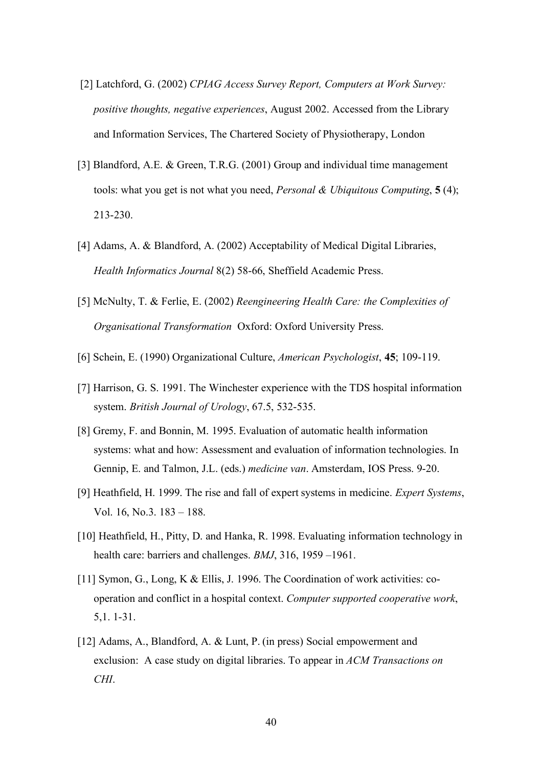- [2] Latchford, G. (2002) *CPIAG Access Survey Report, Computers at Work Survey: positive thoughts, negative experiences*, August 2002. Accessed from the Library and Information Services, The Chartered Society of Physiotherapy, London
- [3] Blandford, A.E. & Green, T.R.G. (2001) Group and individual time management tools: what you get is not what you need, *Personal & Ubiquitous Computing*, **5** (4); 213-230.
- [4] Adams, A. & Blandford, A. (2002) Acceptability of Medical Digital Libraries, *Health Informatics Journal* 8(2) 58-66, Sheffield Academic Press.
- [5] McNulty, T. & Ferlie, E. (2002) *Reengineering Health Care: the Complexities of Organisational Transformation* Oxford: Oxford University Press.
- [6] Schein, E. (1990) Organizational Culture, *American Psychologist*, **45**; 109-119.
- [7] Harrison, G. S. 1991. The Winchester experience with the TDS hospital information system. *British Journal of Urology*, 67.5, 532-535.
- [8] Gremy, F. and Bonnin, M. 1995. Evaluation of automatic health information systems: what and how: Assessment and evaluation of information technologies. In Gennip, E. and Talmon, J.L. (eds.) *medicine van*. Amsterdam, IOS Press. 9-20.
- [9] Heathfield, H. 1999. The rise and fall of expert systems in medicine. *Expert Systems*, Vol. 16, No.3. 183 – 188.
- [10] Heathfield, H., Pitty, D. and Hanka, R. 1998. Evaluating information technology in health care: barriers and challenges. *BMJ*, 316, 1959 –1961.
- [11] Symon, G., Long, K & Ellis, J. 1996. The Coordination of work activities: cooperation and conflict in a hospital context. *Computer supported cooperative work*, 5,1. 1-31.
- [12] Adams, A., Blandford, A. & Lunt, P. (in press) Social empowerment and exclusion: A case study on digital libraries. To appear in *ACM Transactions on CHI*.